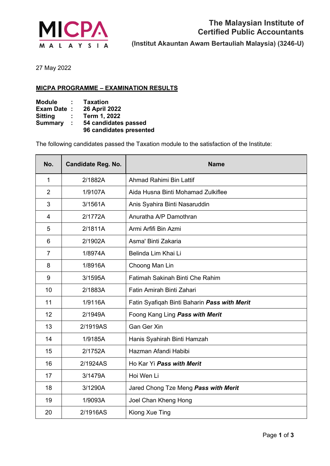

May 2022

## **MICPA PROGRAMME – EXAMINATION RESULTS**

| <b>Module</b>  | ÷. | <b>Taxation</b>         |
|----------------|----|-------------------------|
| Exam Date:     |    | <b>26 April 2022</b>    |
| Sitting        | ÷. | Term 1, 2022            |
| <b>Summary</b> | ÷. | 54 candidates passed    |
|                |    | 96 candidates presented |

The following candidates passed the Taxation module to the satisfaction of the Institute:

| No.            | <b>Candidate Reg. No.</b> | <b>Name</b>                                  |
|----------------|---------------------------|----------------------------------------------|
| $\mathbf{1}$   | 2/1882A                   | Ahmad Rahimi Bin Lattif                      |
| $\overline{2}$ | 1/9107A                   | Aida Husna Binti Mohamad Zulkiflee           |
| 3              | 3/1561A                   | Anis Syahira Binti Nasaruddin                |
| 4              | 2/1772A                   | Anuratha A/P Damothran                       |
| 5              | 2/1811A                   | Armi Arfifi Bin Azmi                         |
| 6              | 2/1902A                   | Asma' Binti Zakaria                          |
| 7              | 1/8974A                   | Belinda Lim Khai Li                          |
| 8              | 1/8916A                   | Choong Man Lin                               |
| 9              | 3/1595A                   | <b>Fatimah Sakinah Binti Che Rahim</b>       |
| 10             | 2/1883A                   | Fatin Amirah Binti Zahari                    |
| 11             | 1/9116A                   | Fatin Syafiqah Binti Baharin Pass with Merit |
| 12             | 2/1949A                   | Foong Kang Ling Pass with Merit              |
| 13             | 2/1919AS                  | <b>Gan Ger Xin</b>                           |
| 14             | 1/9185A                   | Hanis Syahirah Binti Hamzah                  |
| 15             | 2/1752A                   | Hazman Afandi Habibi                         |
| 16             | 2/1924AS                  | Ho Kar Yi Pass with Merit                    |
| 17             | 3/1479A                   | Hoi Wen Li                                   |
| 18             | 3/1290A                   | Jared Chong Tze Meng Pass with Merit         |
| 19             | 1/9093A                   | Joel Chan Kheng Hong                         |
| 20             | 2/1916AS                  | Kiong Xue Ting                               |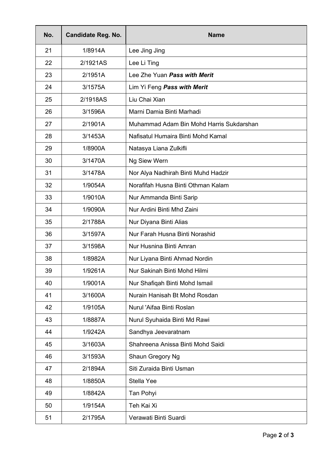| No. | <b>Candidate Reg. No.</b> | <b>Name</b>                              |
|-----|---------------------------|------------------------------------------|
| 21  | 1/8914A                   | Lee Jing Jing                            |
| 22  | 2/1921AS                  | Lee Li Ting                              |
| 23  | 2/1951A                   | Lee Zhe Yuan Pass with Merit             |
| 24  | 3/1575A                   | Lim Yi Feng Pass with Merit              |
| 25  | 2/1918AS                  | Liu Chai Xian                            |
| 26  | 3/1596A                   | Marni Damia Binti Marhadi                |
| 27  | 2/1901A                   | Muhammad Adam Bin Mohd Harris Sukdarshan |
| 28  | 3/1453A                   | Nafisatul Humaira Binti Mohd Kamal       |
| 29  | 1/8900A                   | Natasya Liana Zulkifli                   |
| 30  | 3/1470A                   | Ng Siew Wern                             |
| 31  | 3/1478A                   | Nor Alya Nadhirah Binti Muhd Hadzir      |
| 32  | 1/9054A                   | Norafifah Husna Binti Othman Kalam       |
| 33  | 1/9010A                   | Nur Ammanda Binti Sarip                  |
| 34  | 1/9090A                   | Nur Ardini Binti Mhd Zaini               |
| 35  | 2/1788A                   | Nur Diyana Binti Alias                   |
| 36  | 3/1597A                   | Nur Farah Husna Binti Norashid           |
| 37  | 3/1598A                   | Nur Husnina Binti Amran                  |
| 38  | 1/8982A                   | Nur Liyana Binti Ahmad Nordin            |
| 39  | 1/9261A                   | Nur Sakinah Binti Mohd Hilmi             |
| 40  | 1/9001A                   | Nur Shafiqah Binti Mohd Ismail           |
| 41  | 3/1600A                   | Nurain Hanisah Bt Mohd Rosdan            |
| 42  | 1/9105A                   | Nurul 'Aifaa Binti Roslan                |
| 43  | 1/8887A                   | Nurul Syuhaida Binti Md Rawi             |
| 44  | 1/9242A                   | Sandhya Jeevaratnam                      |
| 45  | 3/1603A                   | Shahreena Anissa Binti Mohd Saidi        |
| 46  | 3/1593A                   | Shaun Gregory Ng                         |
| 47  | 2/1894A                   | Siti Zuraida Binti Usman                 |
| 48  | 1/8850A                   | Stella Yee                               |
| 49  | 1/8842A                   | Tan Pohyi                                |
| 50  | 1/9154A                   | Teh Kai Xi                               |
| 51  | 2/1795A                   | Verawati Binti Suardi                    |